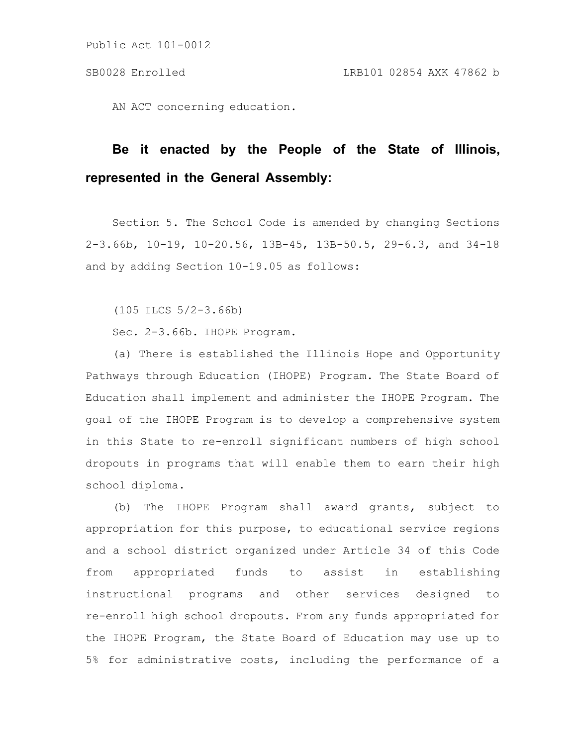AN ACT concerning education.

# **Be it enacted by the People of the State of Illinois, represented in the General Assembly:**

Section 5. The School Code is amended by changing Sections 2-3.66b, 10-19, 10-20.56, 13B-45, 13B-50.5, 29-6.3, and 34-18 and by adding Section 10-19.05 as follows:

(105 ILCS 5/2-3.66b)

Sec. 2-3.66b. IHOPE Program.

(a) There is established the Illinois Hope and Opportunity Pathways through Education (IHOPE) Program. The State Board of Education shall implement and administer the IHOPE Program. The goal of the IHOPE Program is to develop a comprehensive system in this State to re-enroll significant numbers of high school dropouts in programs that will enable them to earn their high school diploma.

(b) The IHOPE Program shall award grants, subject to appropriation for this purpose, to educational service regions and a school district organized under Article 34 of this Code from appropriated funds to assist in establishing instructional programs and other services designed to re-enroll high school dropouts. From any funds appropriated for the IHOPE Program, the State Board of Education may use up to 5% for administrative costs, including the performance of a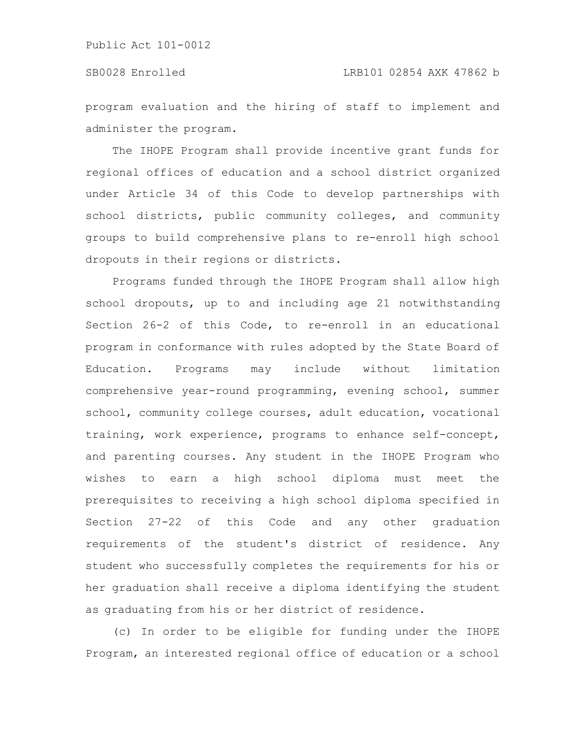program evaluation and the hiring of staff to implement and administer the program.

The IHOPE Program shall provide incentive grant funds for regional offices of education and a school district organized under Article 34 of this Code to develop partnerships with school districts, public community colleges, and community groups to build comprehensive plans to re-enroll high school dropouts in their regions or districts.

Programs funded through the IHOPE Program shall allow high school dropouts, up to and including age 21 notwithstanding Section 26-2 of this Code, to re-enroll in an educational program in conformance with rules adopted by the State Board of Education. Programs may include without limitation comprehensive year-round programming, evening school, summer school, community college courses, adult education, vocational training, work experience, programs to enhance self-concept, and parenting courses. Any student in the IHOPE Program who wishes to earn a high school diploma must meet the prerequisites to receiving a high school diploma specified in Section 27-22 of this Code and any other graduation requirements of the student's district of residence. Any student who successfully completes the requirements for his or her graduation shall receive a diploma identifying the student as graduating from his or her district of residence.

(c) In order to be eligible for funding under the IHOPE Program, an interested regional office of education or a school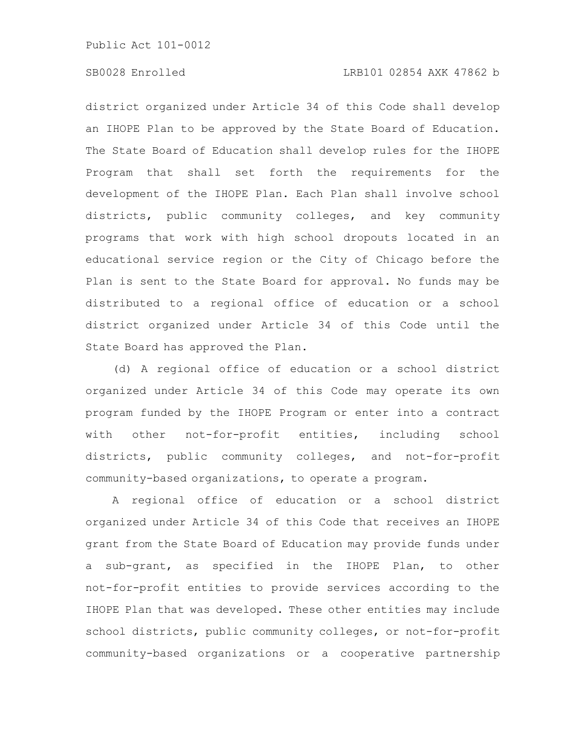# SB0028 Enrolled LRB101 02854 AXK 47862 b

district organized under Article 34 of this Code shall develop an IHOPE Plan to be approved by the State Board of Education. The State Board of Education shall develop rules for the IHOPE Program that shall set forth the requirements for the development of the IHOPE Plan. Each Plan shall involve school districts, public community colleges, and key community programs that work with high school dropouts located in an educational service region or the City of Chicago before the Plan is sent to the State Board for approval. No funds may be distributed to a regional office of education or a school district organized under Article 34 of this Code until the State Board has approved the Plan.

(d) A regional office of education or a school district organized under Article 34 of this Code may operate its own program funded by the IHOPE Program or enter into a contract with other not-for-profit entities, including school districts, public community colleges, and not-for-profit community-based organizations, to operate a program.

A regional office of education or a school district organized under Article 34 of this Code that receives an IHOPE grant from the State Board of Education may provide funds under a sub-grant, as specified in the IHOPE Plan, to other not-for-profit entities to provide services according to the IHOPE Plan that was developed. These other entities may include school districts, public community colleges, or not-for-profit community-based organizations or a cooperative partnership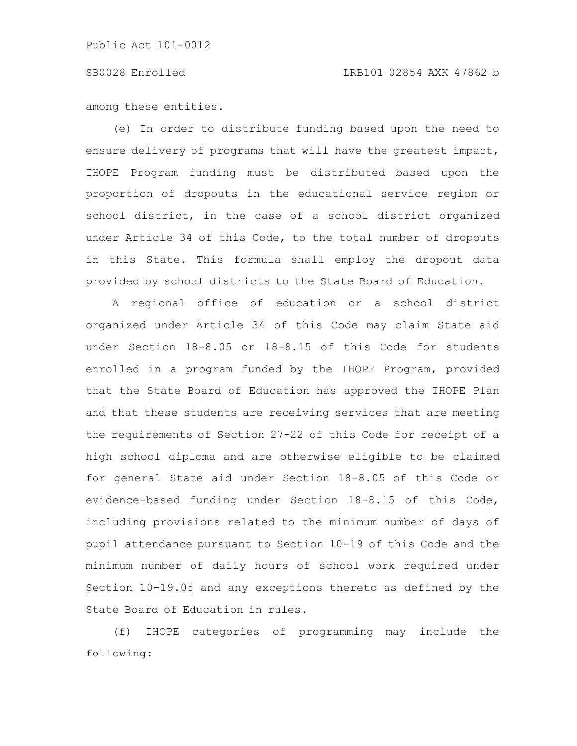# SB0028 Enrolled LRB101 02854 AXK 47862 b

among these entities.

(e) In order to distribute funding based upon the need to ensure delivery of programs that will have the greatest impact, IHOPE Program funding must be distributed based upon the proportion of dropouts in the educational service region or school district, in the case of a school district organized under Article 34 of this Code, to the total number of dropouts in this State. This formula shall employ the dropout data provided by school districts to the State Board of Education.

A regional office of education or a school district organized under Article 34 of this Code may claim State aid under Section 18-8.05 or 18-8.15 of this Code for students enrolled in a program funded by the IHOPE Program, provided that the State Board of Education has approved the IHOPE Plan and that these students are receiving services that are meeting the requirements of Section 27-22 of this Code for receipt of a high school diploma and are otherwise eligible to be claimed for general State aid under Section 18-8.05 of this Code or evidence-based funding under Section 18-8.15 of this Code, including provisions related to the minimum number of days of pupil attendance pursuant to Section 10-19 of this Code and the minimum number of daily hours of school work required under Section 10-19.05 and any exceptions thereto as defined by the State Board of Education in rules.

(f) IHOPE categories of programming may include the following: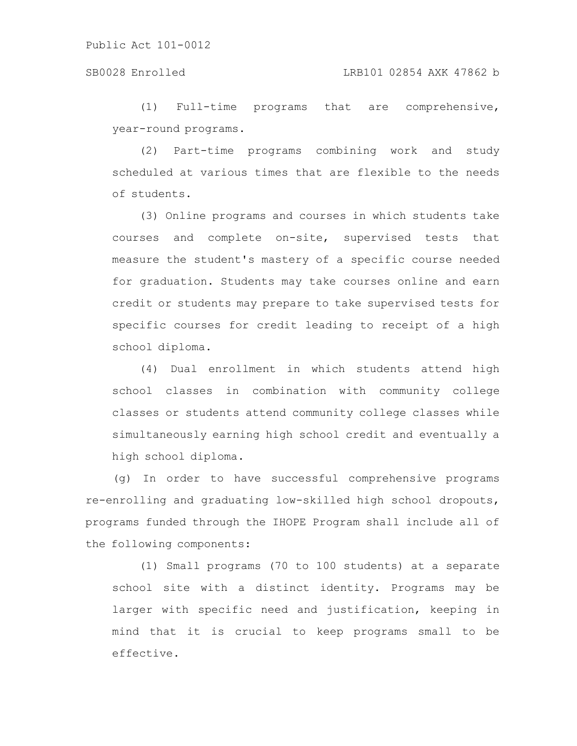### SB0028 Enrolled LRB101 02854 AXK 47862 b

(1) Full-time programs that are comprehensive, year-round programs.

(2) Part-time programs combining work and study scheduled at various times that are flexible to the needs of students.

(3) Online programs and courses in which students take courses and complete on-site, supervised tests that measure the student's mastery of a specific course needed for graduation. Students may take courses online and earn credit or students may prepare to take supervised tests for specific courses for credit leading to receipt of a high school diploma.

(4) Dual enrollment in which students attend high school classes in combination with community college classes or students attend community college classes while simultaneously earning high school credit and eventually a high school diploma.

(g) In order to have successful comprehensive programs re-enrolling and graduating low-skilled high school dropouts, programs funded through the IHOPE Program shall include all of the following components:

(1) Small programs (70 to 100 students) at a separate school site with a distinct identity. Programs may be larger with specific need and justification, keeping in mind that it is crucial to keep programs small to be effective.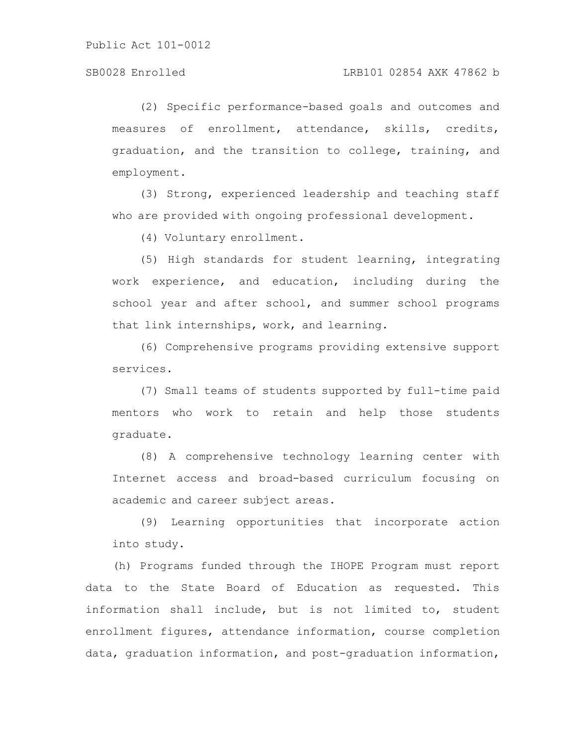# SB0028 Enrolled LRB101 02854 AXK 47862 b

(2) Specific performance-based goals and outcomes and measures of enrollment, attendance, skills, credits, graduation, and the transition to college, training, and employment.

(3) Strong, experienced leadership and teaching staff who are provided with ongoing professional development.

(4) Voluntary enrollment.

(5) High standards for student learning, integrating work experience, and education, including during the school year and after school, and summer school programs that link internships, work, and learning.

(6) Comprehensive programs providing extensive support services.

(7) Small teams of students supported by full-time paid mentors who work to retain and help those students graduate.

(8) A comprehensive technology learning center with Internet access and broad-based curriculum focusing on academic and career subject areas.

(9) Learning opportunities that incorporate action into study.

(h) Programs funded through the IHOPE Program must report data to the State Board of Education as requested. This information shall include, but is not limited to, student enrollment figures, attendance information, course completion data, graduation information, and post-graduation information,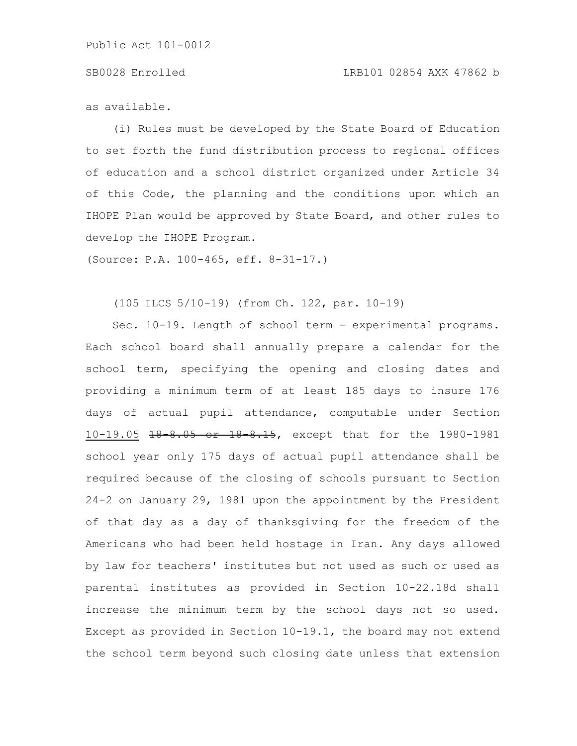# SB0028 Enrolled LRB101 02854 AXK 47862 b

as available.

(i) Rules must be developed by the State Board of Education to set forth the fund distribution process to regional offices of education and a school district organized under Article 34 of this Code, the planning and the conditions upon which an IHOPE Plan would be approved by State Board, and other rules to develop the IHOPE Program.

(Source: P.A. 100-465, eff. 8-31-17.)

(105 ILCS 5/10-19) (from Ch. 122, par. 10-19)

Sec. 10-19. Length of school term - experimental programs. Each school board shall annually prepare a calendar for the school term, specifying the opening and closing dates and providing a minimum term of at least 185 days to insure 176 days of actual pupil attendance, computable under Section 10-19.05 18-8.05 or 18-8.15, except that for the 1980-1981 school year only 175 days of actual pupil attendance shall be required because of the closing of schools pursuant to Section 24-2 on January 29, 1981 upon the appointment by the President of that day as a day of thanksgiving for the freedom of the Americans who had been held hostage in Iran. Any days allowed by law for teachers' institutes but not used as such or used as parental institutes as provided in Section 10-22.18d shall increase the minimum term by the school days not so used. Except as provided in Section 10-19.1, the board may not extend the school term beyond such closing date unless that extension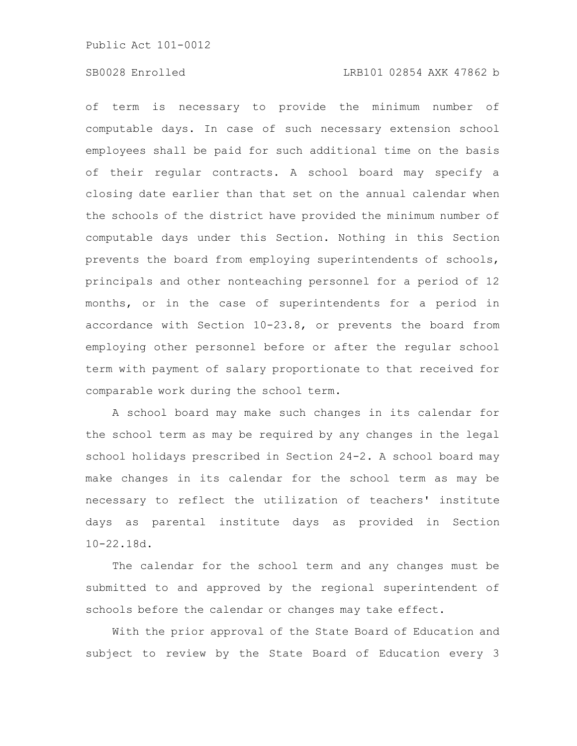### SB0028 Enrolled LRB101 02854 AXK 47862 b

of term is necessary to provide the minimum number of computable days. In case of such necessary extension school employees shall be paid for such additional time on the basis of their regular contracts. A school board may specify a closing date earlier than that set on the annual calendar when the schools of the district have provided the minimum number of computable days under this Section. Nothing in this Section prevents the board from employing superintendents of schools, principals and other nonteaching personnel for a period of 12 months, or in the case of superintendents for a period in accordance with Section 10-23.8, or prevents the board from employing other personnel before or after the regular school term with payment of salary proportionate to that received for comparable work during the school term.

A school board may make such changes in its calendar for the school term as may be required by any changes in the legal school holidays prescribed in Section 24-2. A school board may make changes in its calendar for the school term as may be necessary to reflect the utilization of teachers' institute days as parental institute days as provided in Section 10-22.18d.

The calendar for the school term and any changes must be submitted to and approved by the regional superintendent of schools before the calendar or changes may take effect.

With the prior approval of the State Board of Education and subject to review by the State Board of Education every 3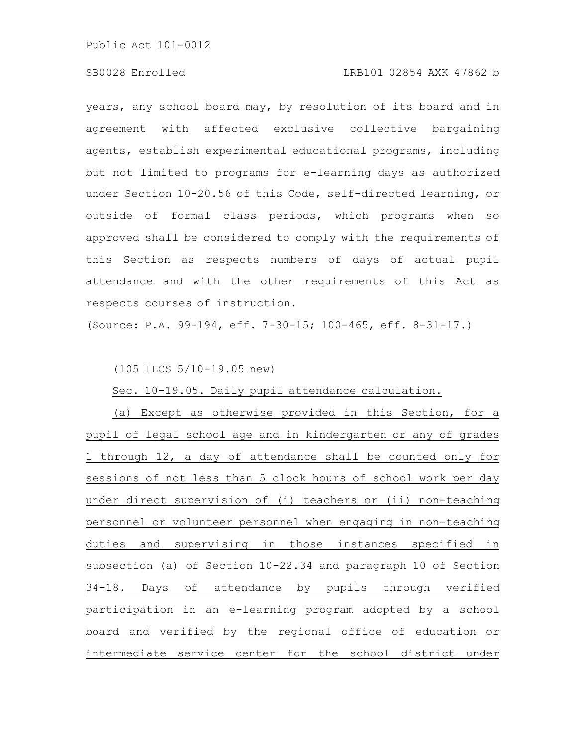# SB0028 Enrolled LRB101 02854 AXK 47862 b

years, any school board may, by resolution of its board and in agreement with affected exclusive collective bargaining agents, establish experimental educational programs, including but not limited to programs for e-learning days as authorized under Section 10-20.56 of this Code, self-directed learning, or outside of formal class periods, which programs when so approved shall be considered to comply with the requirements of this Section as respects numbers of days of actual pupil attendance and with the other requirements of this Act as respects courses of instruction.

(Source: P.A. 99-194, eff. 7-30-15; 100-465, eff. 8-31-17.)

(105 ILCS 5/10-19.05 new)

Sec. 10-19.05. Daily pupil attendance calculation.

(a) Except as otherwise provided in this Section, for a pupil of legal school age and in kindergarten or any of grades 1 through 12, a day of attendance shall be counted only for sessions of not less than 5 clock hours of school work per day under direct supervision of (i) teachers or (ii) non-teaching personnel or volunteer personnel when engaging in non-teaching duties and supervising in those instances specified in subsection (a) of Section 10-22.34 and paragraph 10 of Section 34-18. Days of attendance by pupils through verified participation in an e-learning program adopted by a school board and verified by the regional office of education or intermediate service center for the school district under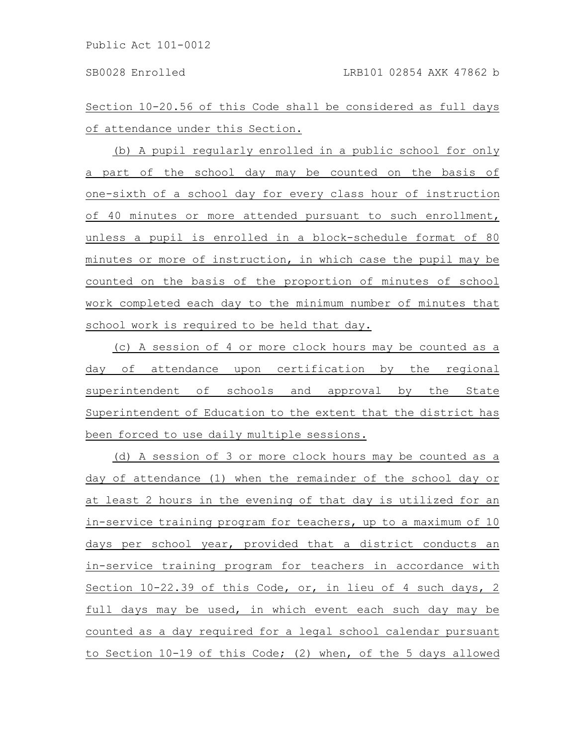Section 10-20.56 of this Code shall be considered as full days of attendance under this Section.

(b) A pupil regularly enrolled in a public school for only a part of the school day may be counted on the basis of one-sixth of a school day for every class hour of instruction of 40 minutes or more attended pursuant to such enrollment, unless a pupil is enrolled in a block-schedule format of 80 minutes or more of instruction, in which case the pupil may be counted on the basis of the proportion of minutes of school work completed each day to the minimum number of minutes that school work is required to be held that day.

(c) A session of 4 or more clock hours may be counted as a day of attendance upon certification by the regional superintendent of schools and approval by the State Superintendent of Education to the extent that the district has been forced to use daily multiple sessions.

(d) A session of 3 or more clock hours may be counted as a day of attendance (1) when the remainder of the school day or at least 2 hours in the evening of that day is utilized for an in-service training program for teachers, up to a maximum of 10 days per school year, provided that a district conducts an in-service training program for teachers in accordance with Section 10-22.39 of this Code, or, in lieu of 4 such days, 2 full days may be used, in which event each such day may be counted as a day required for a legal school calendar pursuant to Section 10-19 of this Code; (2) when, of the 5 days allowed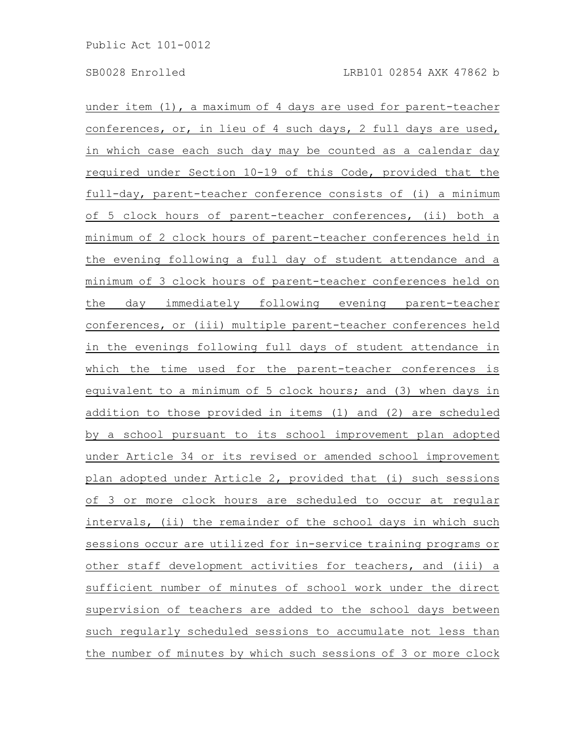under item (1), a maximum of 4 days are used for parent-teacher conferences, or, in lieu of 4 such days, 2 full days are used, in which case each such day may be counted as a calendar day required under Section 10-19 of this Code, provided that the full-day, parent-teacher conference consists of (i) a minimum of 5 clock hours of parent-teacher conferences, (ii) both a minimum of 2 clock hours of parent-teacher conferences held in the evening following a full day of student attendance and a minimum of 3 clock hours of parent-teacher conferences held on the day immediately following evening parent-teacher conferences, or (iii) multiple parent-teacher conferences held in the evenings following full days of student attendance in which the time used for the parent-teacher conferences is equivalent to a minimum of 5 clock hours; and (3) when days in addition to those provided in items (1) and (2) are scheduled by a school pursuant to its school improvement plan adopted under Article 34 or its revised or amended school improvement plan adopted under Article 2, provided that (i) such sessions of 3 or more clock hours are scheduled to occur at regular intervals, (ii) the remainder of the school days in which such sessions occur are utilized for in-service training programs or other staff development activities for teachers, and (iii) a sufficient number of minutes of school work under the direct supervision of teachers are added to the school days between such regularly scheduled sessions to accumulate not less than the number of minutes by which such sessions of 3 or more clock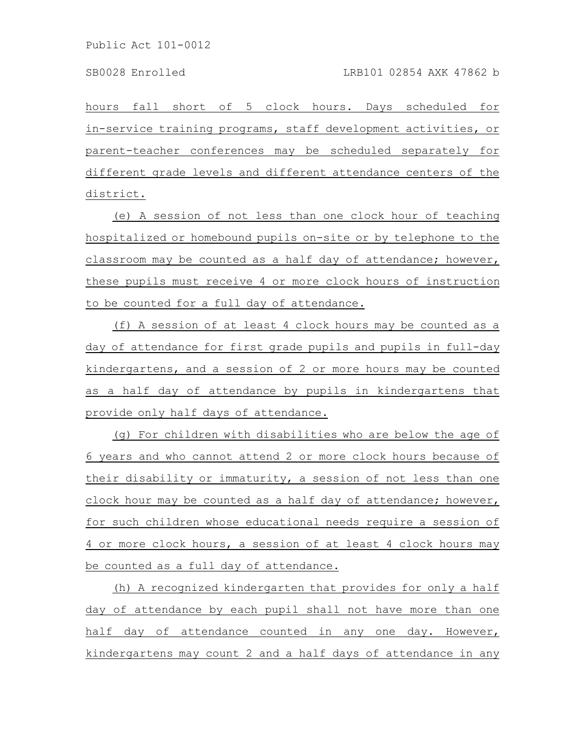hours fall short of 5 clock hours. Days scheduled for in-service training programs, staff development activities, or parent-teacher conferences may be scheduled separately for different grade levels and different attendance centers of the district.

(e) A session of not less than one clock hour of teaching hospitalized or homebound pupils on-site or by telephone to the classroom may be counted as a half day of attendance; however, these pupils must receive 4 or more clock hours of instruction to be counted for a full day of attendance.

(f) A session of at least 4 clock hours may be counted as a day of attendance for first grade pupils and pupils in full-day kindergartens, and a session of 2 or more hours may be counted as a half day of attendance by pupils in kindergartens that provide only half days of attendance.

(g) For children with disabilities who are below the age of 6 years and who cannot attend 2 or more clock hours because of their disability or immaturity, a session of not less than one clock hour may be counted as a half day of attendance; however, for such children whose educational needs require a session of 4 or more clock hours, a session of at least 4 clock hours may be counted as a full day of attendance.

(h) A recognized kindergarten that provides for only a half day of attendance by each pupil shall not have more than one half day of attendance counted in any one day. However, kindergartens may count 2 and a half days of attendance in any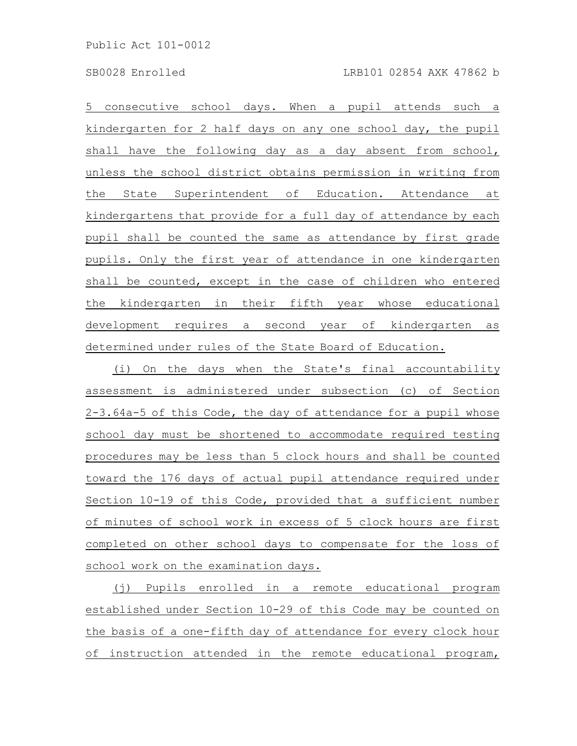5 consecutive school days. When a pupil attends such a kindergarten for 2 half days on any one school day, the pupil shall have the following day as a day absent from school, unless the school district obtains permission in writing from the State Superintendent of Education. Attendance at kindergartens that provide for a full day of attendance by each pupil shall be counted the same as attendance by first grade pupils. Only the first year of attendance in one kindergarten shall be counted, except in the case of children who entered the kindergarten in their fifth year whose educational development requires a second year of kindergarten as determined under rules of the State Board of Education.

(i) On the days when the State's final accountability assessment is administered under subsection (c) of Section 2-3.64a-5 of this Code, the day of attendance for a pupil whose school day must be shortened to accommodate required testing procedures may be less than 5 clock hours and shall be counted toward the 176 days of actual pupil attendance required under Section 10-19 of this Code, provided that a sufficient number of minutes of school work in excess of 5 clock hours are first completed on other school days to compensate for the loss of school work on the examination days.

(j) Pupils enrolled in a remote educational program established under Section 10-29 of this Code may be counted on the basis of a one-fifth day of attendance for every clock hour of instruction attended in the remote educational program,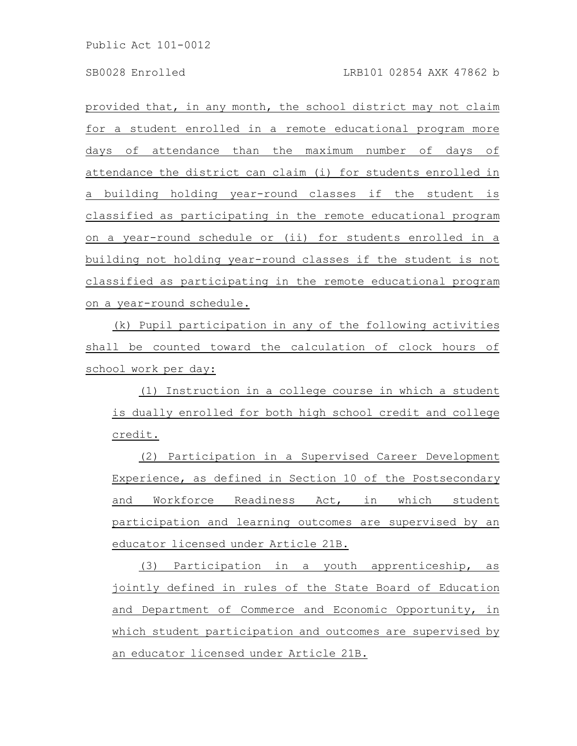provided that, in any month, the school district may not claim for a student enrolled in a remote educational program more days of attendance than the maximum number of days of attendance the district can claim (i) for students enrolled in a building holding year-round classes if the student is classified as participating in the remote educational program on a year-round schedule or (ii) for students enrolled in a building not holding year-round classes if the student is not classified as participating in the remote educational program on a year-round schedule.

(k) Pupil participation in any of the following activities shall be counted toward the calculation of clock hours of school work per day:

(1) Instruction in a college course in which a student is dually enrolled for both high school credit and college credit.

(2) Participation in a Supervised Career Development Experience, as defined in Section 10 of the Postsecondary and Workforce Readiness Act, in which student participation and learning outcomes are supervised by an educator licensed under Article 21B.

(3) Participation in a youth apprenticeship, as jointly defined in rules of the State Board of Education and Department of Commerce and Economic Opportunity, in which student participation and outcomes are supervised by an educator licensed under Article 21B.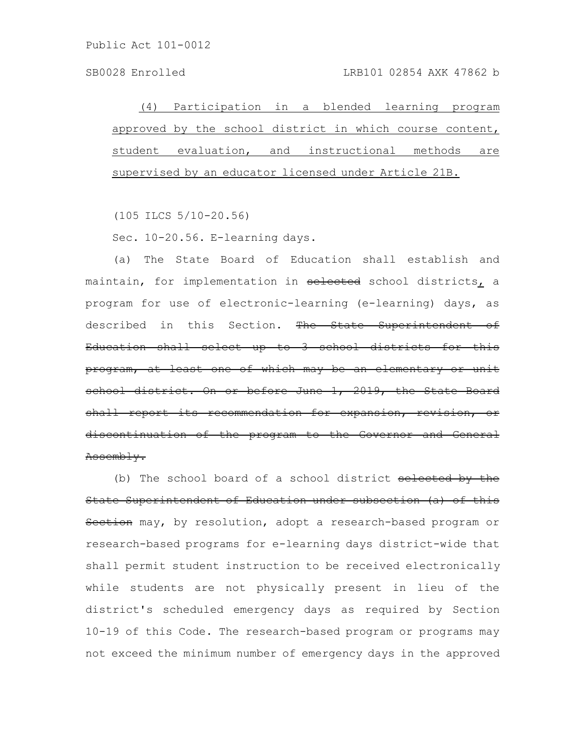(4) Participation in a blended learning program approved by the school district in which course content, student evaluation, and instructional methods are supervised by an educator licensed under Article 21B.

(105 ILCS 5/10-20.56)

Sec. 10-20.56. E-learning days.

(a) The State Board of Education shall establish and maintain, for implementation in selected school districts, a program for use of electronic-learning (e-learning) days, as described in this Section. The State Superintendent of Education shall select up to 3 school districts for this program, at least one of which may be an elementary or unit school district. On or before June 1, 2019, the State Board shall report its recommendation for expansion, revision, discontinuation of the program to the Governor and Assembly.

(b) The school board of a school district selected by the State Superintendent of Education under subsection (a) of this Section may, by resolution, adopt a research-based program or research-based programs for e-learning days district-wide that shall permit student instruction to be received electronically while students are not physically present in lieu of the district's scheduled emergency days as required by Section 10-19 of this Code. The research-based program or programs may not exceed the minimum number of emergency days in the approved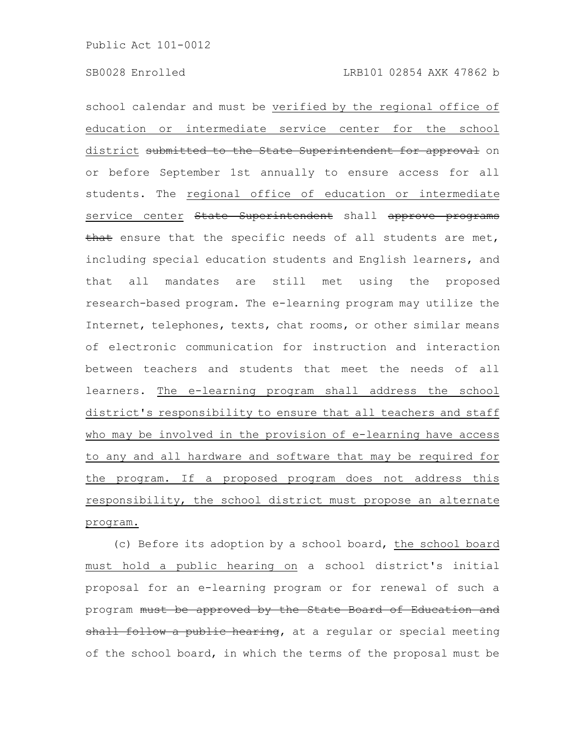school calendar and must be verified by the regional office of education or intermediate service center for the school district submitted to the State Superintendent for approval on or before September 1st annually to ensure access for all students. The regional office of education or intermediate service center State Superintendent shall approve programs that ensure that the specific needs of all students are met, including special education students and English learners, and that all mandates are still met using the proposed research-based program. The e-learning program may utilize the Internet, telephones, texts, chat rooms, or other similar means of electronic communication for instruction and interaction between teachers and students that meet the needs of all learners. The e-learning program shall address the school district's responsibility to ensure that all teachers and staff who may be involved in the provision of e-learning have access to any and all hardware and software that may be required for the program. If a proposed program does not address this responsibility, the school district must propose an alternate program.

(c) Before its adoption by a school board, the school board must hold a public hearing on a school district's initial proposal for an e-learning program or for renewal of such a program must be approved by the State Board of Education and shall follow a public hearing, at a reqular or special meeting of the school board, in which the terms of the proposal must be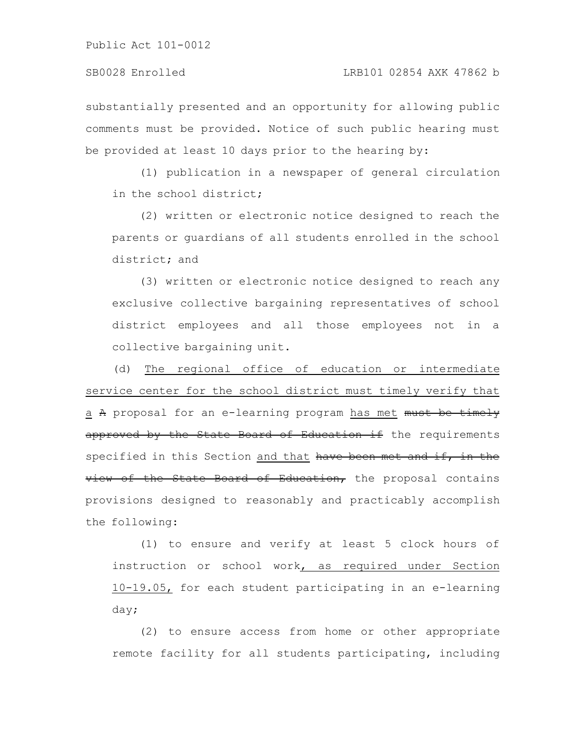substantially presented and an opportunity for allowing public comments must be provided. Notice of such public hearing must be provided at least 10 days prior to the hearing by:

(1) publication in a newspaper of general circulation in the school district;

(2) written or electronic notice designed to reach the parents or guardians of all students enrolled in the school district; and

(3) written or electronic notice designed to reach any exclusive collective bargaining representatives of school district employees and all those employees not in a collective bargaining unit.

(d) The regional office of education or intermediate service center for the school district must timely verify that a A proposal for an e-learning program has met must be timely approved by the State Board of Education if the requirements specified in this Section and that have been met and if, in the view of the State Board of Education, the proposal contains provisions designed to reasonably and practicably accomplish the following:

(1) to ensure and verify at least 5 clock hours of instruction or school work, as required under Section 10-19.05, for each student participating in an e-learning day;

(2) to ensure access from home or other appropriate remote facility for all students participating, including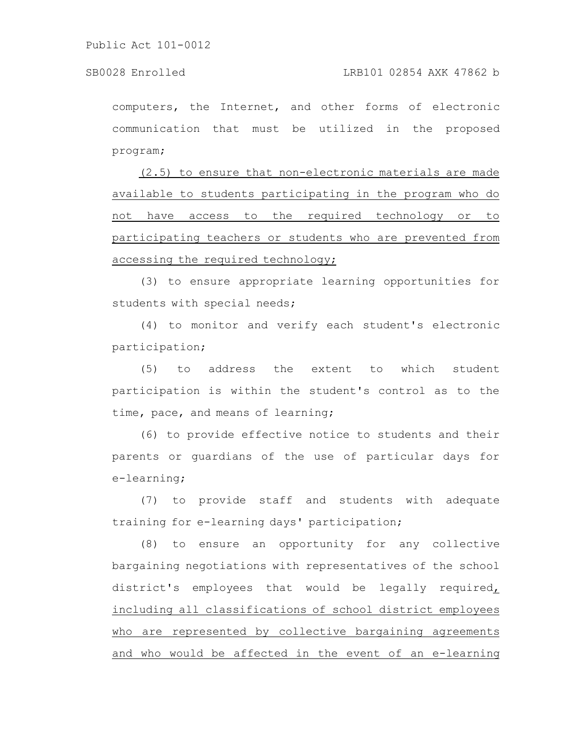computers, the Internet, and other forms of electronic communication that must be utilized in the proposed program;

(2.5) to ensure that non-electronic materials are made available to students participating in the program who do not have access to the required technology or to participating teachers or students who are prevented from accessing the required technology;

(3) to ensure appropriate learning opportunities for students with special needs;

(4) to monitor and verify each student's electronic participation;

(5) to address the extent to which student participation is within the student's control as to the time, pace, and means of learning;

(6) to provide effective notice to students and their parents or guardians of the use of particular days for e-learning;

(7) to provide staff and students with adequate training for e-learning days' participation;

(8) to ensure an opportunity for any collective bargaining negotiations with representatives of the school district's employees that would be legally required, including all classifications of school district employees who are represented by collective bargaining agreements and who would be affected in the event of an e-learning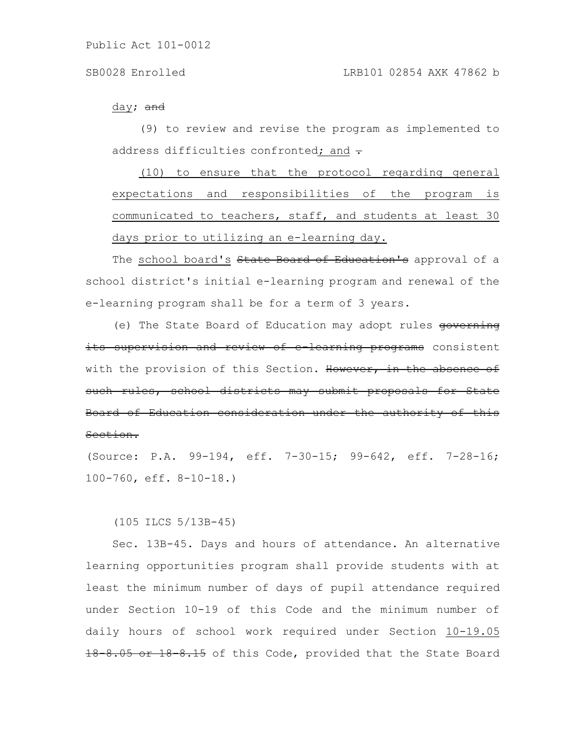### day; <del>and</del>

(9) to review and revise the program as implemented to address difficulties confronted; and  $\div$ 

(10) to ensure that the protocol regarding general expectations and responsibilities of the program is communicated to teachers, staff, and students at least 30 days prior to utilizing an e-learning day.

The school board's State Board of Education's approval of a school district's initial e-learning program and renewal of the e-learning program shall be for a term of 3 years.

(e) The State Board of Education may adopt rules governing its supervision and review of e-learning programs consistent with the provision of this Section. However, in the absence of such rules, school districts may submit proposals for State Board of Education consideration under the authority of this Section.

(Source: P.A. 99-194, eff. 7-30-15; 99-642, eff. 7-28-16; 100-760, eff. 8-10-18.)

(105 ILCS 5/13B-45)

Sec. 13B-45. Days and hours of attendance. An alternative learning opportunities program shall provide students with at least the minimum number of days of pupil attendance required under Section 10-19 of this Code and the minimum number of daily hours of school work required under Section 10-19.05 18 8.05 or 18 8.15 of this Code, provided that the State Board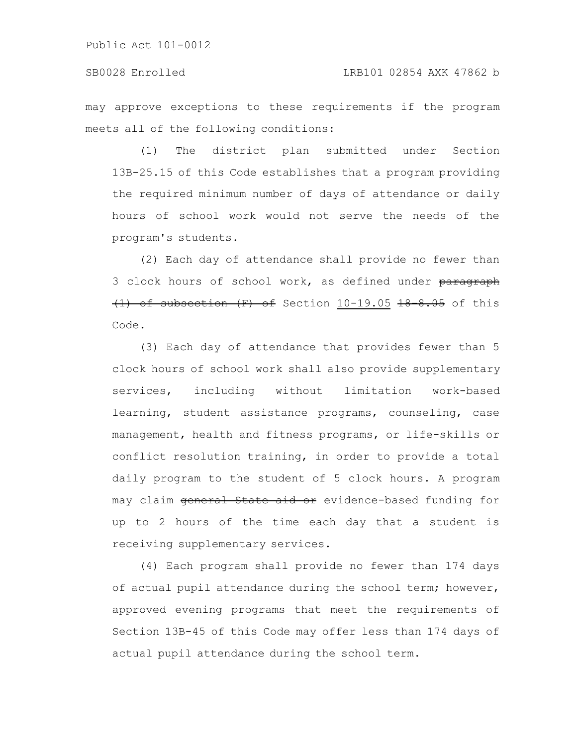may approve exceptions to these requirements if the program meets all of the following conditions:

(1) The district plan submitted under Section 13B-25.15 of this Code establishes that a program providing the required minimum number of days of attendance or daily hours of school work would not serve the needs of the program's students.

(2) Each day of attendance shall provide no fewer than 3 clock hours of school work, as defined under paragraph  $(1)$  of subsection  $(F)$  of Section 10-19.05 18 8.05 of this Code.

(3) Each day of attendance that provides fewer than 5 clock hours of school work shall also provide supplementary services, including without limitation work-based learning, student assistance programs, counseling, case management, health and fitness programs, or life-skills or conflict resolution training, in order to provide a total daily program to the student of 5 clock hours. A program may claim <del>general State aid or</del> evidence-based funding for up to 2 hours of the time each day that a student is receiving supplementary services.

(4) Each program shall provide no fewer than 174 days of actual pupil attendance during the school term; however, approved evening programs that meet the requirements of Section 13B-45 of this Code may offer less than 174 days of actual pupil attendance during the school term.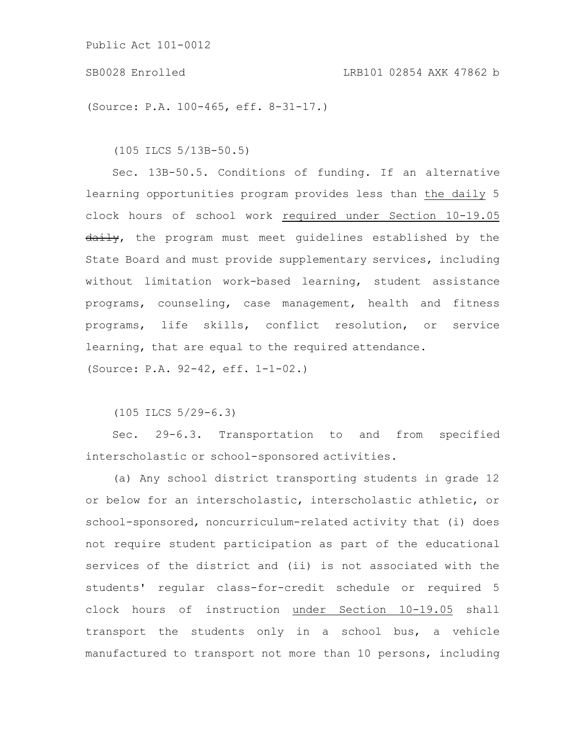### SB0028 Enrolled LRB101 02854 AXK 47862 b

(Source: P.A. 100-465, eff. 8-31-17.)

(105 ILCS 5/13B-50.5)

Sec. 13B-50.5. Conditions of funding. If an alternative learning opportunities program provides less than the daily 5 clock hours of school work required under Section 10-19.05 daily, the program must meet quidelines established by the State Board and must provide supplementary services, including without limitation work-based learning, student assistance programs, counseling, case management, health and fitness programs, life skills, conflict resolution, or service learning, that are equal to the required attendance.

(Source: P.A. 92-42, eff. 1-1-02.)

(105 ILCS 5/29-6.3)

Sec. 29-6.3. Transportation to and from specified interscholastic or school-sponsored activities.

(a) Any school district transporting students in grade 12 or below for an interscholastic, interscholastic athletic, or school-sponsored, noncurriculum-related activity that (i) does not require student participation as part of the educational services of the district and (ii) is not associated with the students' regular class-for-credit schedule or required 5 clock hours of instruction under Section 10-19.05 shall transport the students only in a school bus, a vehicle manufactured to transport not more than 10 persons, including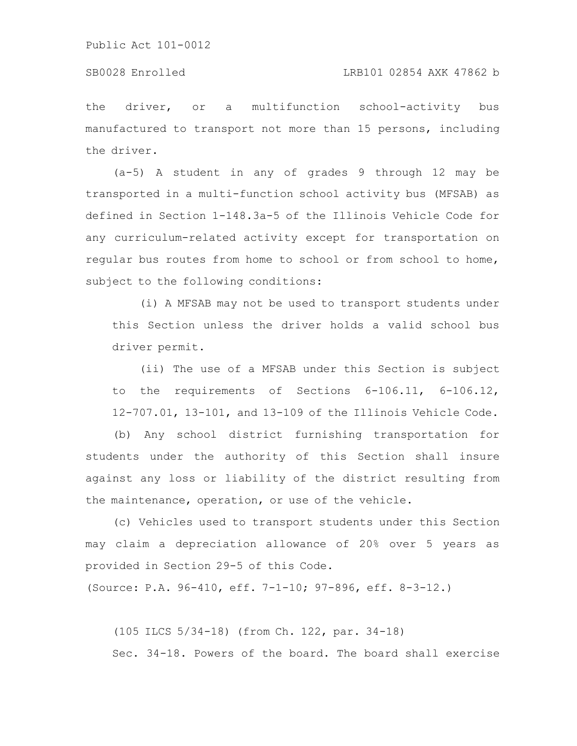### SB0028 Enrolled LRB101 02854 AXK 47862 b

the driver, or a multifunction school-activity bus manufactured to transport not more than 15 persons, including the driver.

(a-5) A student in any of grades 9 through 12 may be transported in a multi-function school activity bus (MFSAB) as defined in Section 1-148.3a-5 of the Illinois Vehicle Code for any curriculum-related activity except for transportation on regular bus routes from home to school or from school to home, subject to the following conditions:

(i) A MFSAB may not be used to transport students under this Section unless the driver holds a valid school bus driver permit.

(ii) The use of a MFSAB under this Section is subject to the requirements of Sections 6-106.11, 6-106.12, 12-707.01, 13-101, and 13-109 of the Illinois Vehicle Code.

(b) Any school district furnishing transportation for students under the authority of this Section shall insure against any loss or liability of the district resulting from the maintenance, operation, or use of the vehicle.

(c) Vehicles used to transport students under this Section may claim a depreciation allowance of 20% over 5 years as provided in Section 29-5 of this Code.

(Source: P.A. 96-410, eff. 7-1-10; 97-896, eff. 8-3-12.)

(105 ILCS 5/34-18) (from Ch. 122, par. 34-18) Sec. 34-18. Powers of the board. The board shall exercise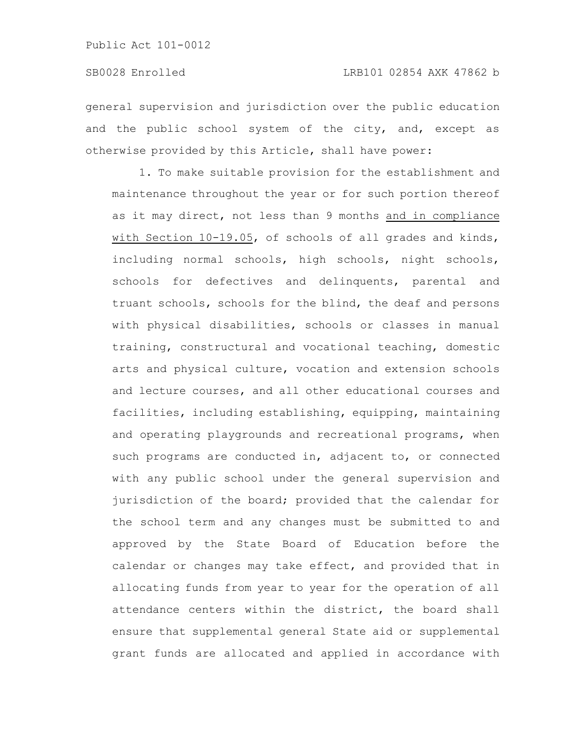general supervision and jurisdiction over the public education and the public school system of the city, and, except as otherwise provided by this Article, shall have power:

1. To make suitable provision for the establishment and maintenance throughout the year or for such portion thereof as it may direct, not less than 9 months and in compliance with Section 10-19.05, of schools of all grades and kinds, including normal schools, high schools, night schools, schools for defectives and delinquents, parental and truant schools, schools for the blind, the deaf and persons with physical disabilities, schools or classes in manual training, constructural and vocational teaching, domestic arts and physical culture, vocation and extension schools and lecture courses, and all other educational courses and facilities, including establishing, equipping, maintaining and operating playgrounds and recreational programs, when such programs are conducted in, adjacent to, or connected with any public school under the general supervision and jurisdiction of the board; provided that the calendar for the school term and any changes must be submitted to and approved by the State Board of Education before the calendar or changes may take effect, and provided that in allocating funds from year to year for the operation of all attendance centers within the district, the board shall ensure that supplemental general State aid or supplemental grant funds are allocated and applied in accordance with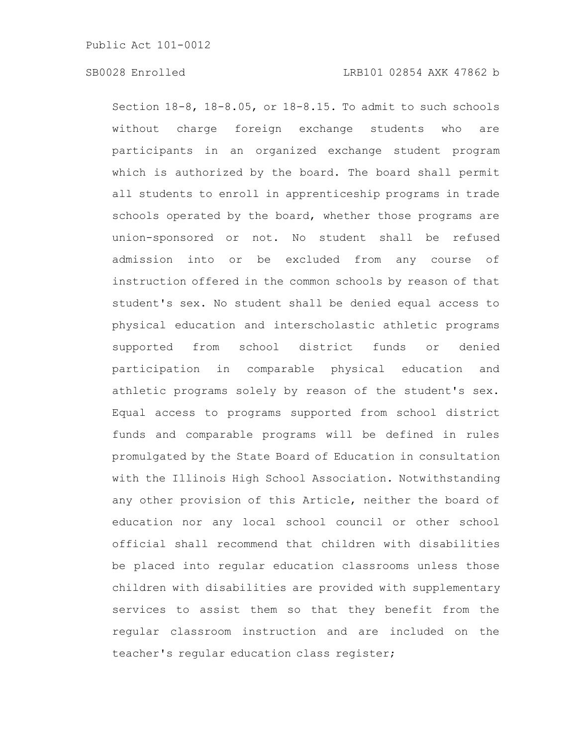# SB0028 Enrolled LRB101 02854 AXK 47862 b

Section 18-8, 18-8.05, or 18-8.15. To admit to such schools without charge foreign exchange students who are participants in an organized exchange student program which is authorized by the board. The board shall permit all students to enroll in apprenticeship programs in trade schools operated by the board, whether those programs are union-sponsored or not. No student shall be refused admission into or be excluded from any course of instruction offered in the common schools by reason of that student's sex. No student shall be denied equal access to physical education and interscholastic athletic programs supported from school district funds or denied participation in comparable physical education and athletic programs solely by reason of the student's sex. Equal access to programs supported from school district funds and comparable programs will be defined in rules promulgated by the State Board of Education in consultation with the Illinois High School Association. Notwithstanding any other provision of this Article, neither the board of education nor any local school council or other school official shall recommend that children with disabilities be placed into regular education classrooms unless those children with disabilities are provided with supplementary services to assist them so that they benefit from the regular classroom instruction and are included on the teacher's regular education class register;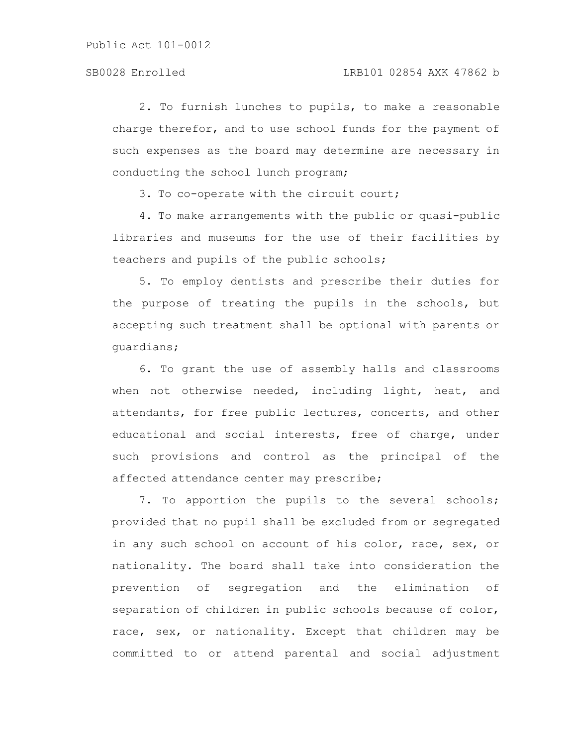2. To furnish lunches to pupils, to make a reasonable charge therefor, and to use school funds for the payment of such expenses as the board may determine are necessary in conducting the school lunch program;

3. To co-operate with the circuit court;

4. To make arrangements with the public or quasi-public libraries and museums for the use of their facilities by teachers and pupils of the public schools;

5. To employ dentists and prescribe their duties for the purpose of treating the pupils in the schools, but accepting such treatment shall be optional with parents or guardians;

6. To grant the use of assembly halls and classrooms when not otherwise needed, including light, heat, and attendants, for free public lectures, concerts, and other educational and social interests, free of charge, under such provisions and control as the principal of the affected attendance center may prescribe;

7. To apportion the pupils to the several schools; provided that no pupil shall be excluded from or segregated in any such school on account of his color, race, sex, or nationality. The board shall take into consideration the prevention of segregation and the elimination of separation of children in public schools because of color, race, sex, or nationality. Except that children may be committed to or attend parental and social adjustment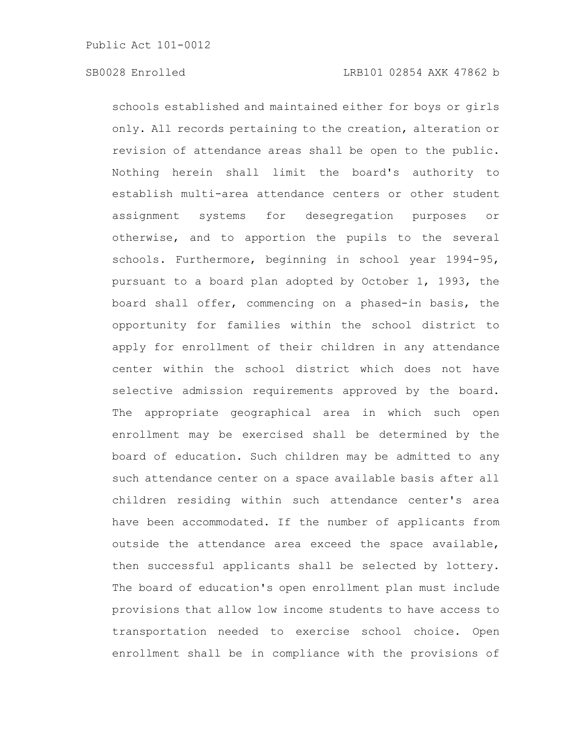schools established and maintained either for boys or girls only. All records pertaining to the creation, alteration or revision of attendance areas shall be open to the public. Nothing herein shall limit the board's authority to establish multi-area attendance centers or other student assignment systems for desegregation purposes otherwise, and to apportion the pupils to the several schools. Furthermore, beginning in school year 1994-95, pursuant to a board plan adopted by October 1, 1993, the board shall offer, commencing on a phased-in basis, the opportunity for families within the school district to apply for enrollment of their children in any attendance center within the school district which does not have selective admission requirements approved by the board. The appropriate geographical area in which such open enrollment may be exercised shall be determined by the board of education. Such children may be admitted to any such attendance center on a space available basis after all children residing within such attendance center's area have been accommodated. If the number of applicants from outside the attendance area exceed the space available, then successful applicants shall be selected by lottery. The board of education's open enrollment plan must include provisions that allow low income students to have access to transportation needed to exercise school choice. Open enrollment shall be in compliance with the provisions of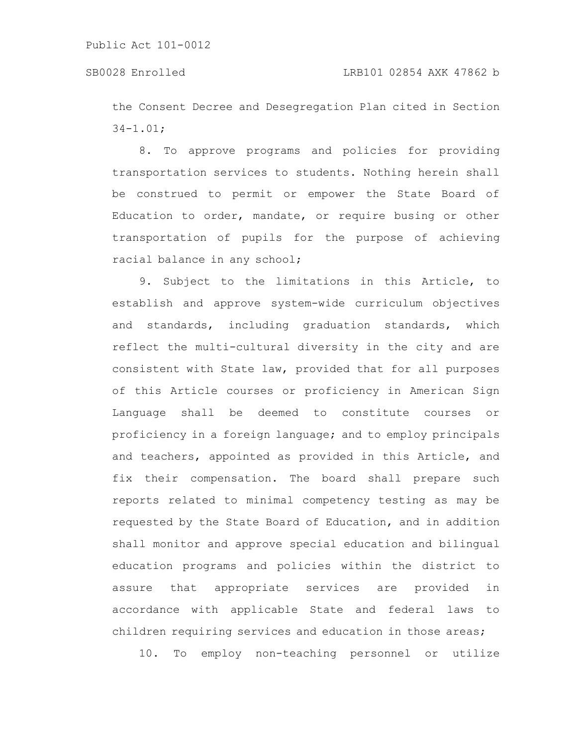the Consent Decree and Desegregation Plan cited in Section 34-1.01;

8. To approve programs and policies for providing transportation services to students. Nothing herein shall be construed to permit or empower the State Board of Education to order, mandate, or require busing or other transportation of pupils for the purpose of achieving racial balance in any school;

9. Subject to the limitations in this Article, to establish and approve system-wide curriculum objectives and standards, including graduation standards, which reflect the multi-cultural diversity in the city and are consistent with State law, provided that for all purposes of this Article courses or proficiency in American Sign Language shall be deemed to constitute courses or proficiency in a foreign language; and to employ principals and teachers, appointed as provided in this Article, and fix their compensation. The board shall prepare such reports related to minimal competency testing as may be requested by the State Board of Education, and in addition shall monitor and approve special education and bilingual education programs and policies within the district to assure that appropriate services are provided in accordance with applicable State and federal laws to children requiring services and education in those areas;

10. To employ non-teaching personnel or utilize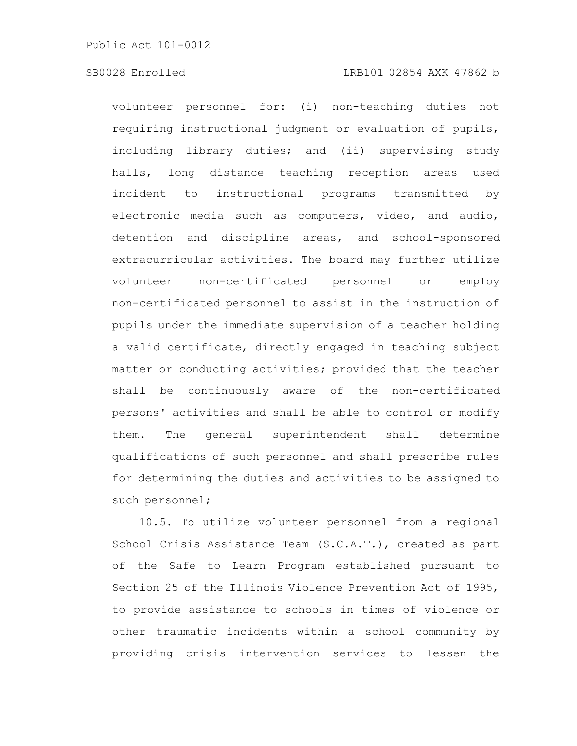# SB0028 Enrolled LRB101 02854 AXK 47862 b

volunteer personnel for: (i) non-teaching duties not requiring instructional judgment or evaluation of pupils, including library duties; and (ii) supervising study halls, long distance teaching reception areas used incident to instructional programs transmitted by electronic media such as computers, video, and audio, detention and discipline areas, and school-sponsored extracurricular activities. The board may further utilize volunteer non-certificated personnel or employ non-certificated personnel to assist in the instruction of pupils under the immediate supervision of a teacher holding a valid certificate, directly engaged in teaching subject matter or conducting activities; provided that the teacher shall be continuously aware of the non-certificated persons' activities and shall be able to control or modify them. The general superintendent shall determine qualifications of such personnel and shall prescribe rules for determining the duties and activities to be assigned to such personnel;

10.5. To utilize volunteer personnel from a regional School Crisis Assistance Team (S.C.A.T.), created as part of the Safe to Learn Program established pursuant to Section 25 of the Illinois Violence Prevention Act of 1995, to provide assistance to schools in times of violence or other traumatic incidents within a school community by providing crisis intervention services to lessen the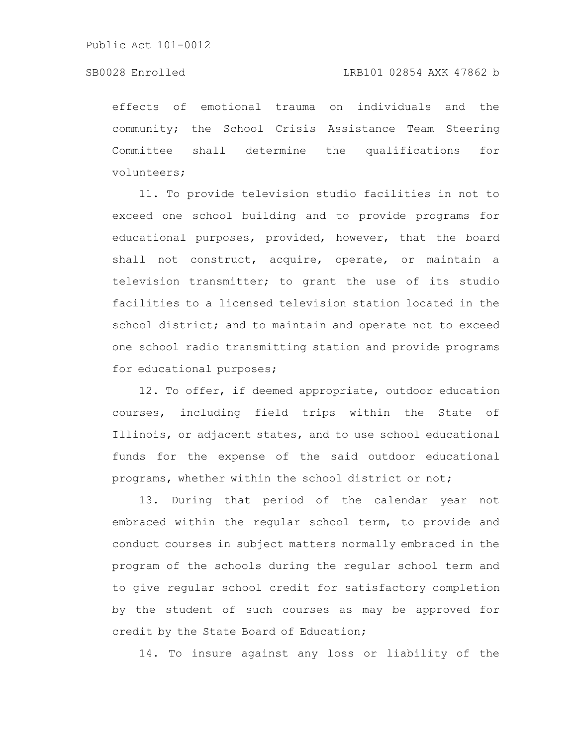# SB0028 Enrolled LRB101 02854 AXK 47862 b

effects of emotional trauma on individuals and the community; the School Crisis Assistance Team Steering Committee shall determine the qualifications for volunteers;

11. To provide television studio facilities in not to exceed one school building and to provide programs for educational purposes, provided, however, that the board shall not construct, acquire, operate, or maintain a television transmitter; to grant the use of its studio facilities to a licensed television station located in the school district; and to maintain and operate not to exceed one school radio transmitting station and provide programs for educational purposes;

12. To offer, if deemed appropriate, outdoor education courses, including field trips within the State of Illinois, or adjacent states, and to use school educational funds for the expense of the said outdoor educational programs, whether within the school district or not;

13. During that period of the calendar year not embraced within the regular school term, to provide and conduct courses in subject matters normally embraced in the program of the schools during the regular school term and to give regular school credit for satisfactory completion by the student of such courses as may be approved for credit by the State Board of Education;

14. To insure against any loss or liability of the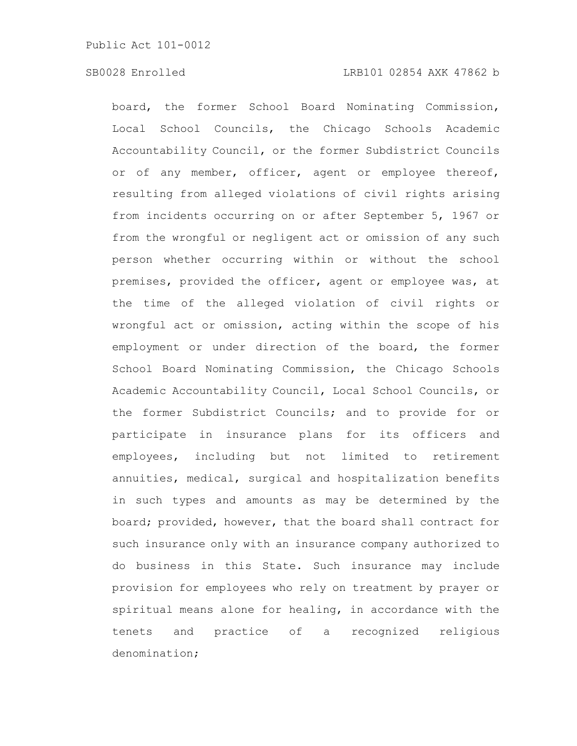board, the former School Board Nominating Commission, Local School Councils, the Chicago Schools Academic Accountability Council, or the former Subdistrict Councils or of any member, officer, agent or employee thereof, resulting from alleged violations of civil rights arising from incidents occurring on or after September 5, 1967 or from the wrongful or negligent act or omission of any such person whether occurring within or without the school premises, provided the officer, agent or employee was, at the time of the alleged violation of civil rights or wrongful act or omission, acting within the scope of his employment or under direction of the board, the former School Board Nominating Commission, the Chicago Schools Academic Accountability Council, Local School Councils, or the former Subdistrict Councils; and to provide for or participate in insurance plans for its officers and employees, including but not limited to retirement annuities, medical, surgical and hospitalization benefits in such types and amounts as may be determined by the board; provided, however, that the board shall contract for such insurance only with an insurance company authorized to do business in this State. Such insurance may include provision for employees who rely on treatment by prayer or spiritual means alone for healing, in accordance with the tenets and practice of a recognized religious denomination;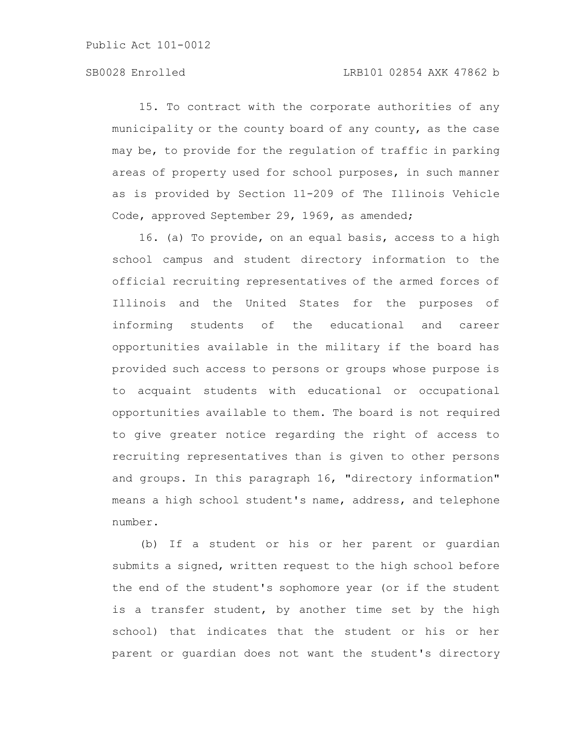# SB0028 Enrolled LRB101 02854 AXK 47862 b

15. To contract with the corporate authorities of any municipality or the county board of any county, as the case may be, to provide for the regulation of traffic in parking areas of property used for school purposes, in such manner as is provided by Section 11-209 of The Illinois Vehicle Code, approved September 29, 1969, as amended;

16. (a) To provide, on an equal basis, access to a high school campus and student directory information to the official recruiting representatives of the armed forces of Illinois and the United States for the purposes of informing students of the educational and career opportunities available in the military if the board has provided such access to persons or groups whose purpose is to acquaint students with educational or occupational opportunities available to them. The board is not required to give greater notice regarding the right of access to recruiting representatives than is given to other persons and groups. In this paragraph 16, "directory information" means a high school student's name, address, and telephone number.

(b) If a student or his or her parent or guardian submits a signed, written request to the high school before the end of the student's sophomore year (or if the student is a transfer student, by another time set by the high school) that indicates that the student or his or her parent or guardian does not want the student's directory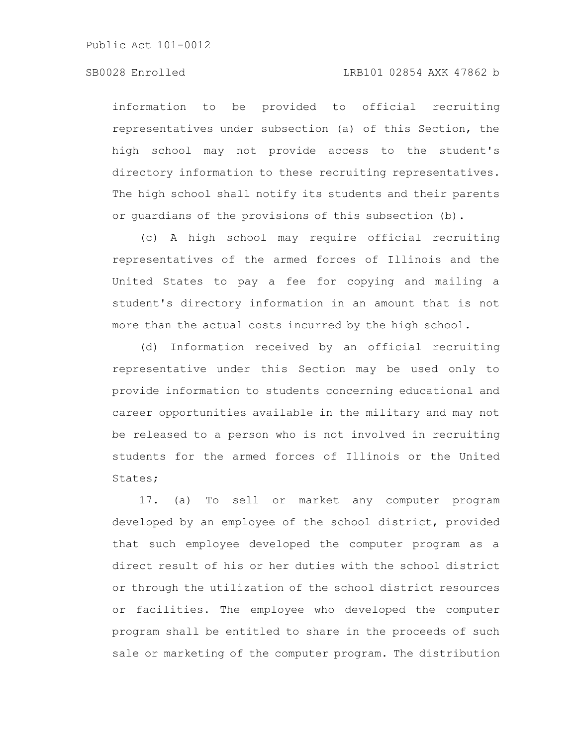# SB0028 Enrolled LRB101 02854 AXK 47862 b

information to be provided to official recruiting representatives under subsection (a) of this Section, the high school may not provide access to the student's directory information to these recruiting representatives. The high school shall notify its students and their parents or guardians of the provisions of this subsection (b).

(c) A high school may require official recruiting representatives of the armed forces of Illinois and the United States to pay a fee for copying and mailing a student's directory information in an amount that is not more than the actual costs incurred by the high school.

(d) Information received by an official recruiting representative under this Section may be used only to provide information to students concerning educational and career opportunities available in the military and may not be released to a person who is not involved in recruiting students for the armed forces of Illinois or the United States;

17. (a) To sell or market any computer program developed by an employee of the school district, provided that such employee developed the computer program as a direct result of his or her duties with the school district or through the utilization of the school district resources or facilities. The employee who developed the computer program shall be entitled to share in the proceeds of such sale or marketing of the computer program. The distribution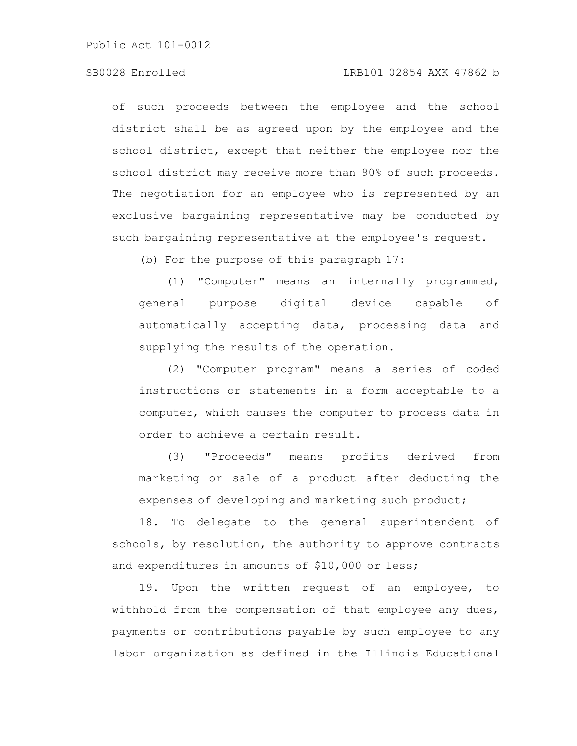# SB0028 Enrolled LRB101 02854 AXK 47862 b

of such proceeds between the employee and the school district shall be as agreed upon by the employee and the school district, except that neither the employee nor the school district may receive more than 90% of such proceeds. The negotiation for an employee who is represented by an exclusive bargaining representative may be conducted by such bargaining representative at the employee's request.

(b) For the purpose of this paragraph 17:

(1) "Computer" means an internally programmed, general purpose digital device capable of automatically accepting data, processing data and supplying the results of the operation.

(2) "Computer program" means a series of coded instructions or statements in a form acceptable to a computer, which causes the computer to process data in order to achieve a certain result.

(3) "Proceeds" means profits derived from marketing or sale of a product after deducting the expenses of developing and marketing such product;

18. To delegate to the general superintendent of schools, by resolution, the authority to approve contracts and expenditures in amounts of \$10,000 or less;

19. Upon the written request of an employee, to withhold from the compensation of that employee any dues, payments or contributions payable by such employee to any labor organization as defined in the Illinois Educational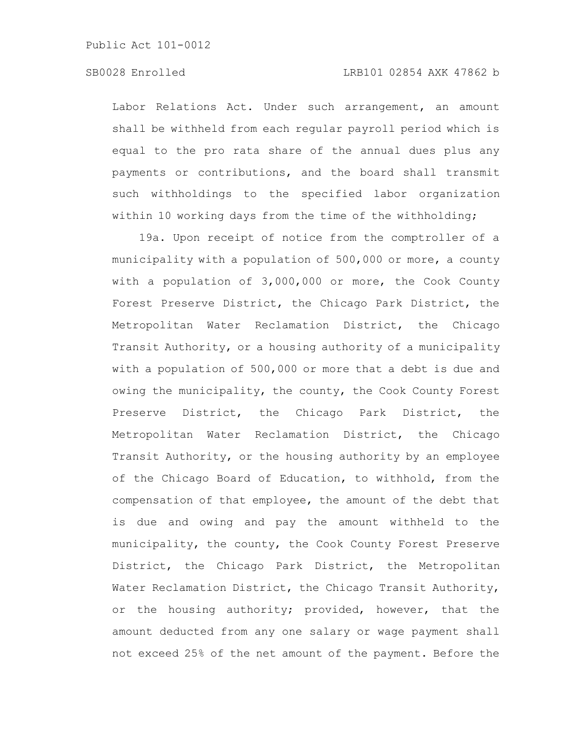# SB0028 Enrolled LRB101 02854 AXK 47862 b

Labor Relations Act. Under such arrangement, an amount shall be withheld from each regular payroll period which is equal to the pro rata share of the annual dues plus any payments or contributions, and the board shall transmit such withholdings to the specified labor organization within 10 working days from the time of the withholding;

19a. Upon receipt of notice from the comptroller of a municipality with a population of 500,000 or more, a county with a population of 3,000,000 or more, the Cook County Forest Preserve District, the Chicago Park District, the Metropolitan Water Reclamation District, the Chicago Transit Authority, or a housing authority of a municipality with a population of 500,000 or more that a debt is due and owing the municipality, the county, the Cook County Forest Preserve District, the Chicago Park District, the Metropolitan Water Reclamation District, the Chicago Transit Authority, or the housing authority by an employee of the Chicago Board of Education, to withhold, from the compensation of that employee, the amount of the debt that is due and owing and pay the amount withheld to the municipality, the county, the Cook County Forest Preserve District, the Chicago Park District, the Metropolitan Water Reclamation District, the Chicago Transit Authority, or the housing authority; provided, however, that the amount deducted from any one salary or wage payment shall not exceed 25% of the net amount of the payment. Before the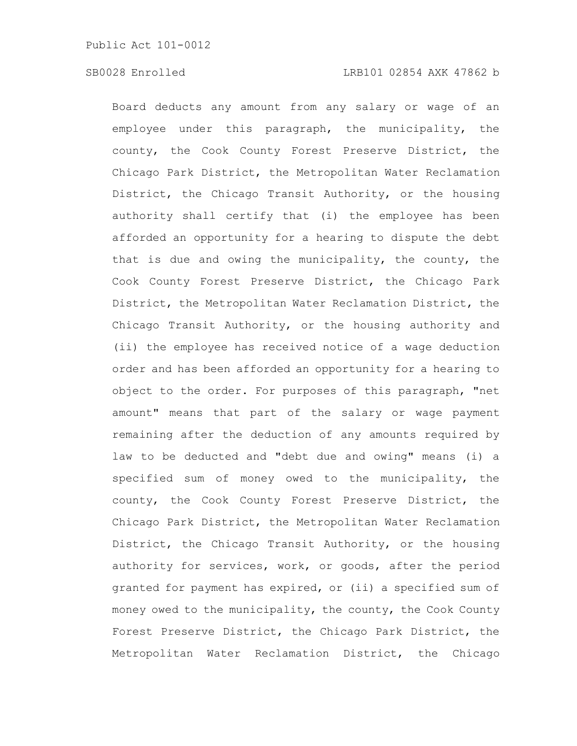Board deducts any amount from any salary or wage of an employee under this paragraph, the municipality, the county, the Cook County Forest Preserve District, the Chicago Park District, the Metropolitan Water Reclamation District, the Chicago Transit Authority, or the housing authority shall certify that (i) the employee has been afforded an opportunity for a hearing to dispute the debt that is due and owing the municipality, the county, the Cook County Forest Preserve District, the Chicago Park District, the Metropolitan Water Reclamation District, the Chicago Transit Authority, or the housing authority and (ii) the employee has received notice of a wage deduction order and has been afforded an opportunity for a hearing to object to the order. For purposes of this paragraph, "net amount" means that part of the salary or wage payment remaining after the deduction of any amounts required by law to be deducted and "debt due and owing" means (i) a specified sum of money owed to the municipality, the county, the Cook County Forest Preserve District, the Chicago Park District, the Metropolitan Water Reclamation District, the Chicago Transit Authority, or the housing authority for services, work, or goods, after the period granted for payment has expired, or (ii) a specified sum of money owed to the municipality, the county, the Cook County Forest Preserve District, the Chicago Park District, the Metropolitan Water Reclamation District, the Chicago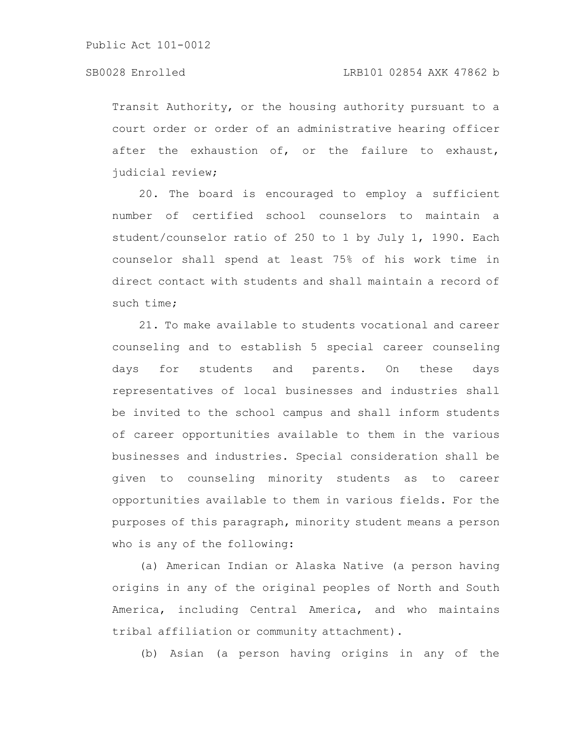Transit Authority, or the housing authority pursuant to a court order or order of an administrative hearing officer after the exhaustion of, or the failure to exhaust, judicial review;

20. The board is encouraged to employ a sufficient number of certified school counselors to maintain a student/counselor ratio of 250 to 1 by July 1, 1990. Each counselor shall spend at least 75% of his work time in direct contact with students and shall maintain a record of such time;

21. To make available to students vocational and career counseling and to establish 5 special career counseling days for students and parents. On these days representatives of local businesses and industries shall be invited to the school campus and shall inform students of career opportunities available to them in the various businesses and industries. Special consideration shall be given to counseling minority students as to career opportunities available to them in various fields. For the purposes of this paragraph, minority student means a person who is any of the following:

(a) American Indian or Alaska Native (a person having origins in any of the original peoples of North and South America, including Central America, and who maintains tribal affiliation or community attachment).

(b) Asian (a person having origins in any of the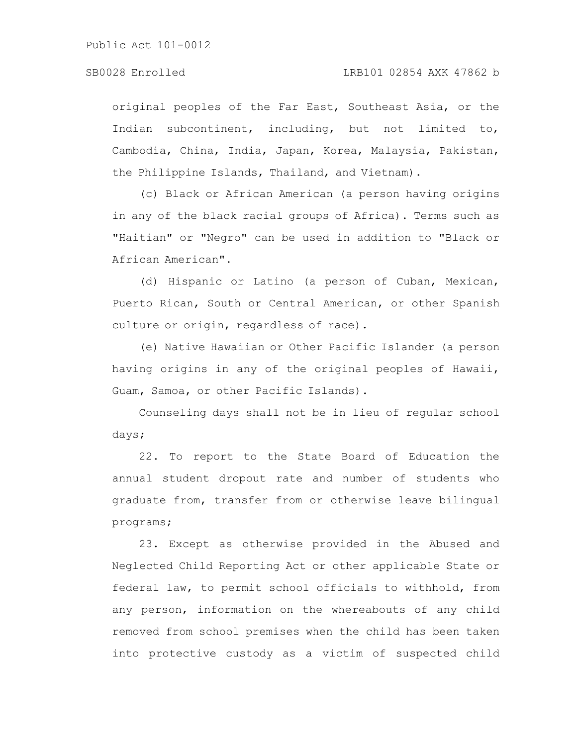original peoples of the Far East, Southeast Asia, or the Indian subcontinent, including, but not limited to, Cambodia, China, India, Japan, Korea, Malaysia, Pakistan, the Philippine Islands, Thailand, and Vietnam).

(c) Black or African American (a person having origins in any of the black racial groups of Africa). Terms such as "Haitian" or "Negro" can be used in addition to "Black or African American".

(d) Hispanic or Latino (a person of Cuban, Mexican, Puerto Rican, South or Central American, or other Spanish culture or origin, regardless of race).

(e) Native Hawaiian or Other Pacific Islander (a person having origins in any of the original peoples of Hawaii, Guam, Samoa, or other Pacific Islands).

Counseling days shall not be in lieu of regular school days;

22. To report to the State Board of Education the annual student dropout rate and number of students who graduate from, transfer from or otherwise leave bilingual programs;

23. Except as otherwise provided in the Abused and Neglected Child Reporting Act or other applicable State or federal law, to permit school officials to withhold, from any person, information on the whereabouts of any child removed from school premises when the child has been taken into protective custody as a victim of suspected child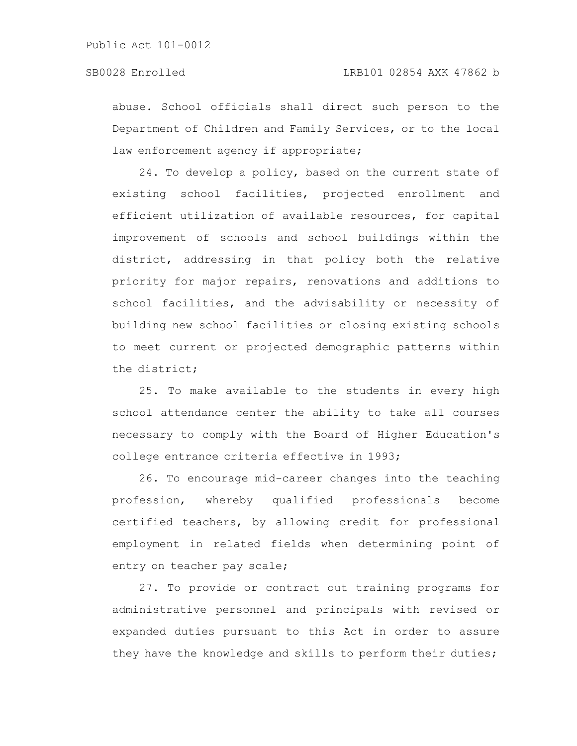abuse. School officials shall direct such person to the Department of Children and Family Services, or to the local law enforcement agency if appropriate;

24. To develop a policy, based on the current state of existing school facilities, projected enrollment and efficient utilization of available resources, for capital improvement of schools and school buildings within the district, addressing in that policy both the relative priority for major repairs, renovations and additions to school facilities, and the advisability or necessity of building new school facilities or closing existing schools to meet current or projected demographic patterns within the district;

25. To make available to the students in every high school attendance center the ability to take all courses necessary to comply with the Board of Higher Education's college entrance criteria effective in 1993;

26. To encourage mid-career changes into the teaching profession, whereby qualified professionals become certified teachers, by allowing credit for professional employment in related fields when determining point of entry on teacher pay scale;

27. To provide or contract out training programs for administrative personnel and principals with revised or expanded duties pursuant to this Act in order to assure they have the knowledge and skills to perform their duties;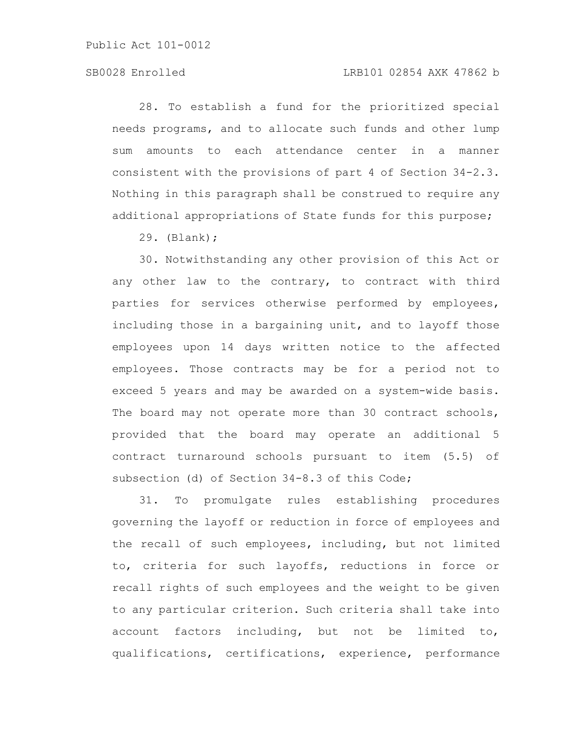# SB0028 Enrolled LRB101 02854 AXK 47862 b

28. To establish a fund for the prioritized special needs programs, and to allocate such funds and other lump sum amounts to each attendance center in a manner consistent with the provisions of part 4 of Section 34-2.3. Nothing in this paragraph shall be construed to require any additional appropriations of State funds for this purpose;

29. (Blank);

30. Notwithstanding any other provision of this Act or any other law to the contrary, to contract with third parties for services otherwise performed by employees, including those in a bargaining unit, and to layoff those employees upon 14 days written notice to the affected employees. Those contracts may be for a period not to exceed 5 years and may be awarded on a system-wide basis. The board may not operate more than 30 contract schools, provided that the board may operate an additional 5 contract turnaround schools pursuant to item (5.5) of subsection (d) of Section 34-8.3 of this Code;

31. To promulgate rules establishing procedures governing the layoff or reduction in force of employees and the recall of such employees, including, but not limited to, criteria for such layoffs, reductions in force or recall rights of such employees and the weight to be given to any particular criterion. Such criteria shall take into account factors including, but not be limited to, qualifications, certifications, experience, performance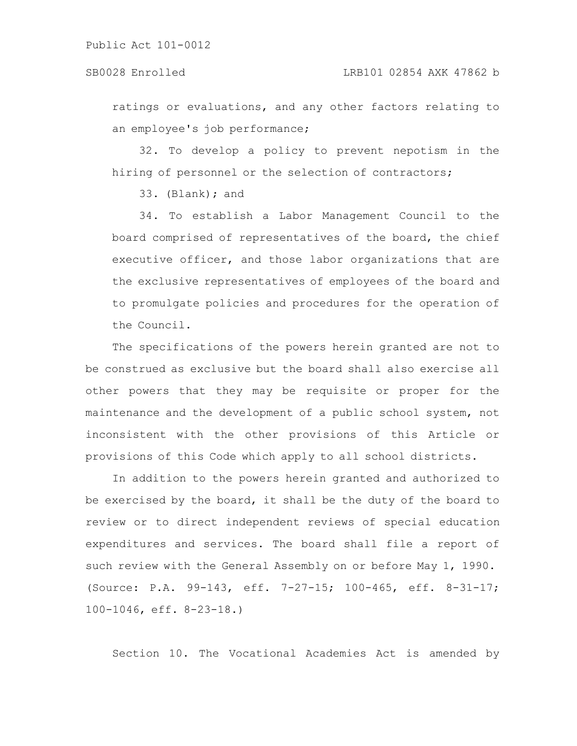ratings or evaluations, and any other factors relating to an employee's job performance;

32. To develop a policy to prevent nepotism in the hiring of personnel or the selection of contractors;

33. (Blank); and

34. To establish a Labor Management Council to the board comprised of representatives of the board, the chief executive officer, and those labor organizations that are the exclusive representatives of employees of the board and to promulgate policies and procedures for the operation of the Council.

The specifications of the powers herein granted are not to be construed as exclusive but the board shall also exercise all other powers that they may be requisite or proper for the maintenance and the development of a public school system, not inconsistent with the other provisions of this Article or provisions of this Code which apply to all school districts.

In addition to the powers herein granted and authorized to be exercised by the board, it shall be the duty of the board to review or to direct independent reviews of special education expenditures and services. The board shall file a report of such review with the General Assembly on or before May 1, 1990. (Source: P.A. 99-143, eff. 7-27-15; 100-465, eff. 8-31-17; 100-1046, eff. 8-23-18.)

Section 10. The Vocational Academies Act is amended by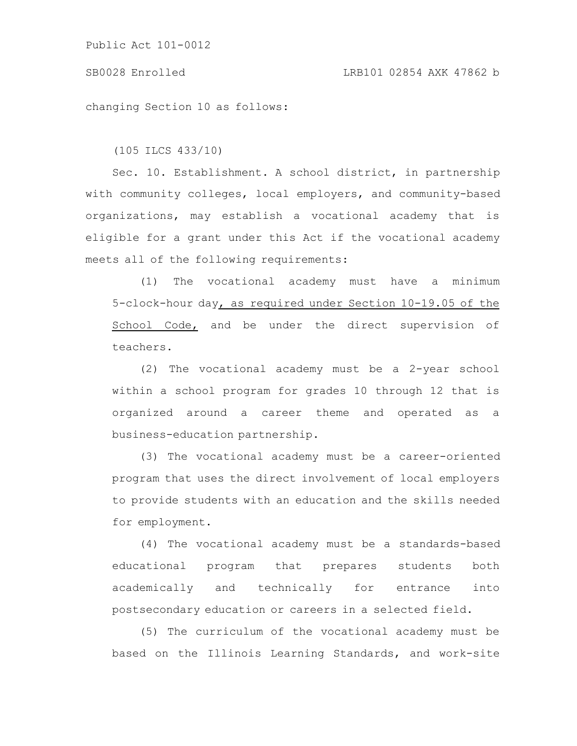### SB0028 Enrolled LRB101 02854 AXK 47862 b

changing Section 10 as follows:

(105 ILCS 433/10)

Sec. 10. Establishment. A school district, in partnership with community colleges, local employers, and community-based organizations, may establish a vocational academy that is eligible for a grant under this Act if the vocational academy meets all of the following requirements:

(1) The vocational academy must have a minimum 5-clock-hour day, as required under Section 10-19.05 of the School Code, and be under the direct supervision of teachers.

(2) The vocational academy must be a 2-year school within a school program for grades 10 through 12 that is organized around a career theme and operated as a business-education partnership.

(3) The vocational academy must be a career-oriented program that uses the direct involvement of local employers to provide students with an education and the skills needed for employment.

(4) The vocational academy must be a standards-based educational program that prepares students both academically and technically for entrance into postsecondary education or careers in a selected field.

(5) The curriculum of the vocational academy must be based on the Illinois Learning Standards, and work-site